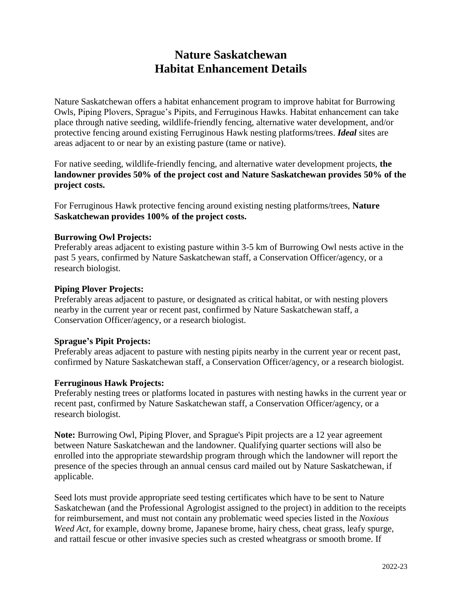# **Nature Saskatchewan Habitat Enhancement Details**

Nature Saskatchewan offers a habitat enhancement program to improve habitat for Burrowing Owls, Piping Plovers, Sprague's Pipits, and Ferruginous Hawks. Habitat enhancement can take place through native seeding, wildlife-friendly fencing, alternative water development, and/or protective fencing around existing Ferruginous Hawk nesting platforms/trees. *Ideal* sites are areas adjacent to or near by an existing pasture (tame or native).

For native seeding, wildlife-friendly fencing, and alternative water development projects, **the landowner provides 50% of the project cost and Nature Saskatchewan provides 50% of the project costs.**

For Ferruginous Hawk protective fencing around existing nesting platforms/trees, **Nature Saskatchewan provides 100% of the project costs.**

### **Burrowing Owl Projects:**

Preferably areas adjacent to existing pasture within 3-5 km of Burrowing Owl nests active in the past 5 years, confirmed by Nature Saskatchewan staff, a Conservation Officer/agency, or a research biologist.

#### **Piping Plover Projects:**

Preferably areas adjacent to pasture, or designated as critical habitat, or with nesting plovers nearby in the current year or recent past, confirmed by Nature Saskatchewan staff, a Conservation Officer/agency, or a research biologist.

### **Sprague's Pipit Projects:**

Preferably areas adjacent to pasture with nesting pipits nearby in the current year or recent past, confirmed by Nature Saskatchewan staff, a Conservation Officer/agency, or a research biologist.

#### **Ferruginous Hawk Projects:**

Preferably nesting trees or platforms located in pastures with nesting hawks in the current year or recent past, confirmed by Nature Saskatchewan staff, a Conservation Officer/agency, or a research biologist.

**Note:** Burrowing Owl, Piping Plover, and Sprague's Pipit projects are a 12 year agreement between Nature Saskatchewan and the landowner. Qualifying quarter sections will also be enrolled into the appropriate stewardship program through which the landowner will report the presence of the species through an annual census card mailed out by Nature Saskatchewan, if applicable.

Seed lots must provide appropriate seed testing certificates which have to be sent to Nature Saskatchewan (and the Professional Agrologist assigned to the project) in addition to the receipts for reimbursement, and must not contain any problematic weed species listed in the *Noxious Weed Act*, for example, downy brome, Japanese brome, hairy chess, cheat grass, leafy spurge, and rattail fescue or other invasive species such as crested wheatgrass or smooth brome. If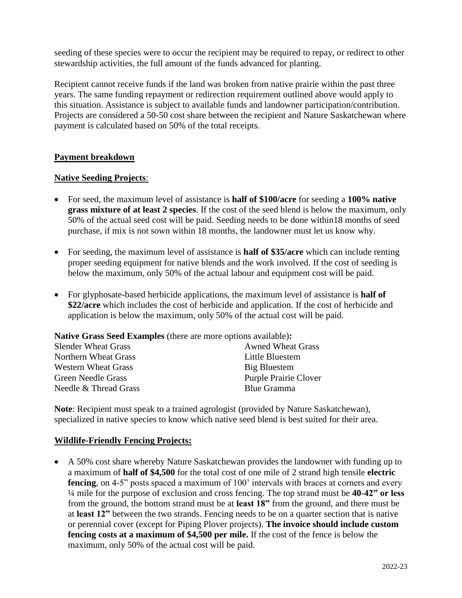seeding of these species were to occur the recipient may be required to repay, or redirect to other stewardship activities, the full amount of the funds advanced for planting.

Recipient cannot receive funds if the land was broken from native prairie within the past three years. The same funding repayment or redirection requirement outlined above would apply to this situation. Assistance is subject to available funds and landowner participation/contribution. Projects are considered a 50-50 cost share between the recipient and Nature Saskatchewan where payment is calculated based on 50% of the total receipts.

## **Payment breakdown**

### **Native Seeding Projects**:

- For seed, the maximum level of assistance is **half of \$100/acre** for seeding a **100% native grass mixture of at least 2 species**. If the cost of the seed blend is below the maximum, only 50% of the actual seed cost will be paid. Seeding needs to be done within18 months of seed purchase, if mix is not sown within 18 months, the landowner must let us know why.
- For seeding, the maximum level of assistance is **half of \$35/acre** which can include renting proper seeding equipment for native blends and the work involved. If the cost of seeding is below the maximum, only 50% of the actual labour and equipment cost will be paid.
- For glyphosate-based herbicide applications, the maximum level of assistance is **half of \$22/acre** which includes the cost of herbicide and application. If the cost of herbicide and application is below the maximum, only 50% of the actual cost will be paid.

**Native Grass Seed Examples** (there are more options available)**:**

|  | <b>Awned Wheat Grass</b>     |
|--|------------------------------|
|  | Little Bluestem              |
|  | Big Bluestem                 |
|  | <b>Purple Prairie Clover</b> |
|  | <b>Blue Gramma</b>           |
|  |                              |

**Note**: Recipient must speak to a trained agrologist (provided by Nature Saskatchewan), specialized in native species to know which native seed blend is best suited for their area.

### **Wildlife-Friendly Fencing Projects:**

 A 50% cost share whereby Nature Saskatchewan provides the landowner with funding up to a maximum of **half of \$4,500** for the total cost of one mile of 2 strand high tensile **electric**  fencing, on 4-5" posts spaced a maximum of 100' intervals with braces at corners and every ¼ mile for the purpose of exclusion and cross fencing. The top strand must be **40-42" or less** from the ground, the bottom strand must be at **least 18"** from the ground, and there must be at **least 12"** between the two strands. Fencing needs to be on a quarter section that is native or perennial cover (except for Piping Plover projects). **The invoice should include custom fencing costs at a maximum of \$4,500 per mile.** If the cost of the fence is below the maximum, only 50% of the actual cost will be paid.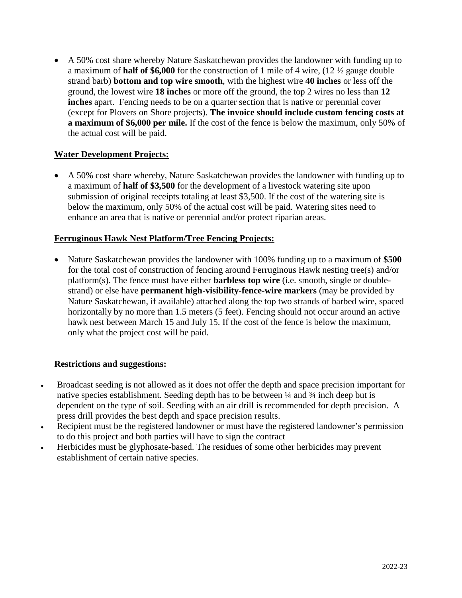A 50% cost share whereby Nature Saskatchewan provides the landowner with funding up to a maximum of **half of \$6,000** for the construction of 1 mile of 4 wire, (12 ½ gauge double strand barb) **bottom and top wire smooth**, with the highest wire **40 inches** or less off the ground, the lowest wire **18 inches** or more off the ground, the top 2 wires no less than **12 inches** apart. Fencing needs to be on a quarter section that is native or perennial cover (except for Plovers on Shore projects). **The invoice should include custom fencing costs at a maximum of \$6,000 per mile.** If the cost of the fence is below the maximum, only 50% of the actual cost will be paid.

## **Water Development Projects:**

 A 50% cost share whereby, Nature Saskatchewan provides the landowner with funding up to a maximum of **half of \$3,500** for the development of a livestock watering site upon submission of original receipts totaling at least \$3,500. If the cost of the watering site is below the maximum, only 50% of the actual cost will be paid. Watering sites need to enhance an area that is native or perennial and/or protect riparian areas.

## **Ferruginous Hawk Nest Platform/Tree Fencing Projects:**

 Nature Saskatchewan provides the landowner with 100% funding up to a maximum of **\$500** for the total cost of construction of fencing around Ferruginous Hawk nesting tree(s) and/or platform(s). The fence must have either **barbless top wire** (i.e. smooth, single or doublestrand) or else have **permanent high-visibility-fence-wire markers** (may be provided by Nature Saskatchewan, if available) attached along the top two strands of barbed wire, spaced horizontally by no more than 1.5 meters (5 feet). Fencing should not occur around an active hawk nest between March 15 and July 15. If the cost of the fence is below the maximum, only what the project cost will be paid.

### **Restrictions and suggestions:**

- Broadcast seeding is not allowed as it does not offer the depth and space precision important for native species establishment. Seeding depth has to be between ¼ and ¾ inch deep but is dependent on the type of soil. Seeding with an air drill is recommended for depth precision. A press drill provides the best depth and space precision results.
- Recipient must be the registered landowner or must have the registered landowner's permission to do this project and both parties will have to sign the contract
- Herbicides must be glyphosate-based. The residues of some other herbicides may prevent establishment of certain native species.